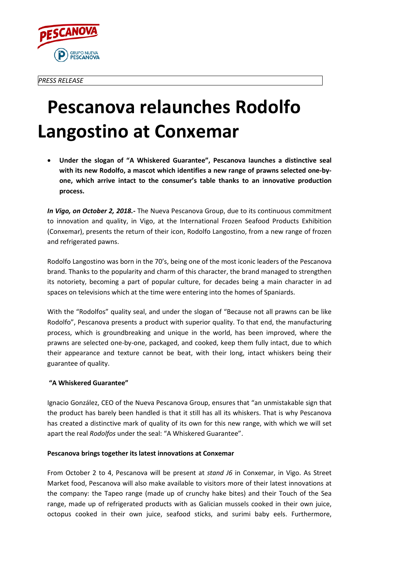

## **Pescanova relaunches Rodolfo Langostino at Conxemar**

• **Under the slogan of "A Whiskered Guarantee", Pescanova launches a distinctive seal with its new Rodolfo, a mascot which identifies a new range of prawns selected one-byone, which arrive intact to the consumer's table thanks to an innovative production process.**

*In Vigo, on October 2, 2018.-* The Nueva Pescanova Group, due to its continuous commitment to innovation and quality, in Vigo, at the International Frozen Seafood Products Exhibition (Conxemar), presents the return of their icon, Rodolfo Langostino, from a new range of frozen and refrigerated pawns.

Rodolfo Langostino was born in the 70's, being one of the most iconic leaders of the Pescanova brand. Thanks to the popularity and charm of this character, the brand managed to strengthen its notoriety, becoming a part of popular culture, for decades being a main character in ad spaces on televisions which at the time were entering into the homes of Spaniards.

With the "Rodolfos" quality seal, and under the slogan of "Because not all prawns can be like Rodolfo", Pescanova presents a product with superior quality. To that end, the manufacturing process, which is groundbreaking and unique in the world, has been improved, where the prawns are selected one-by-one, packaged, and cooked, keep them fully intact, due to which their appearance and texture cannot be beat, with their long, intact whiskers being their guarantee of quality.

## **"A Whiskered Guarantee"**

Ignacio González, CEO of the Nueva Pescanova Group, ensures that "an unmistakable sign that the product has barely been handled is that it still has all its whiskers. That is why Pescanova has created a distinctive mark of quality of its own for this new range, with which we will set apart the real *Rodolfos* under the seal: "A Whiskered Guarantee".

## **Pescanova brings together its latest innovations at Conxemar**

From October 2 to 4, Pescanova will be present at *stand J6* in Conxemar, in Vigo. As Street Market food, Pescanova will also make available to visitors more of their latest innovations at the company: the Tapeo range (made up of crunchy hake bites) and their Touch of the Sea range, made up of refrigerated products with as Galician mussels cooked in their own juice, octopus cooked in their own juice, seafood sticks, and surimi baby eels. Furthermore,